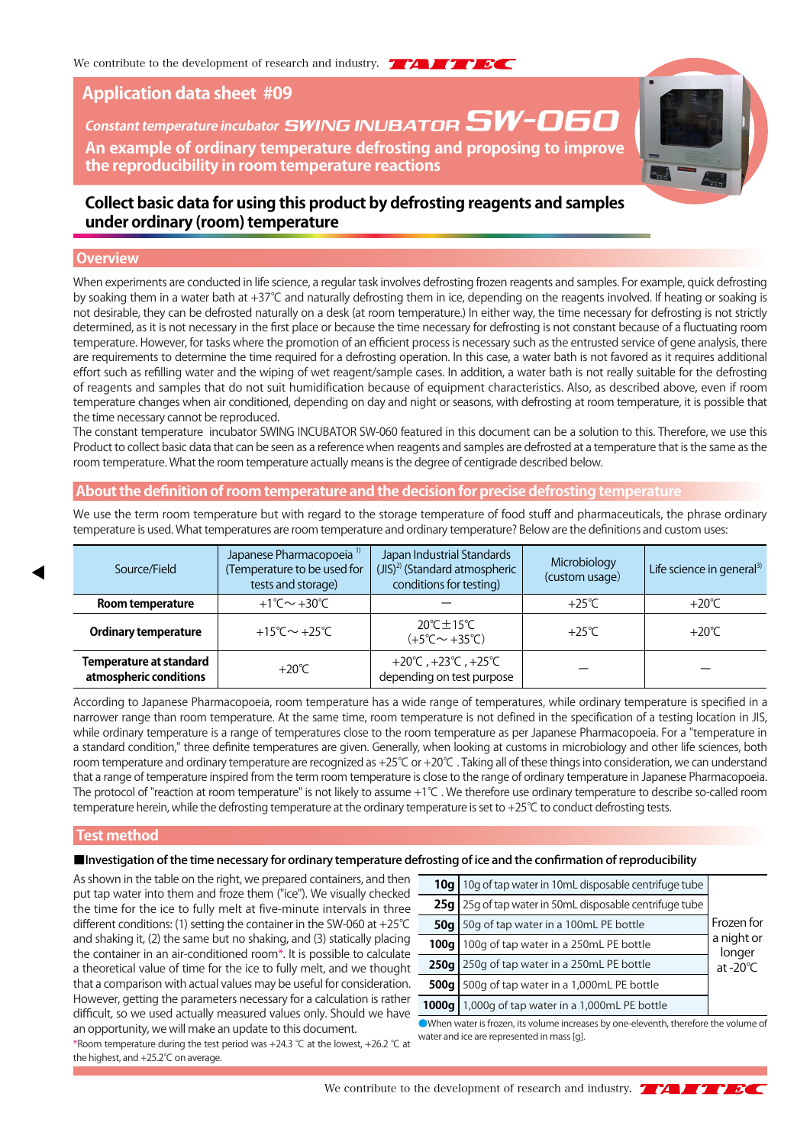# **Application data sheet #09**

# **An example of ordinary temperature defrosting and proposing to improve the reproducibility in room temperature reactions Constant temperature incubator SWING INUBATOR SW-060**



# **Collect basic data for using this product by defrosting reagents and samples under ordinary (room) temperature**

# **Overview**

When experiments are conducted in life science, a regular task involves defrosting frozen reagents and samples. For example, quick defrosting by soaking them in a water bath at +37℃ and naturally defrosting them in ice, depending on the reagents involved. If heating or soaking is not desirable, they can be defrosted naturally on a desk (at room temperature.) In either way, the time necessary for defrosting is not strictly determined, as it is not necessary in the first place or because the time necessary for defrosting is not constant because of a fluctuating room temperature. However, for tasks where the promotion of an efficient process is necessary such as the entrusted service of gene analysis, there are requirements to determine the time required for a defrosting operation. In this case, a water bath is not favored as it requires additional effort such as refilling water and the wiping of wet reagent/sample cases. In addition, a water bath is not really suitable for the defrosting of reagents and samples that do not suit humidification because of equipment characteristics. Also, as described above, even if room temperature changes when air conditioned, depending on day and night or seasons, with defrosting at room temperature, it is possible that the time necessary cannot be reproduced.

The constant temperature incubator SWING INCUBATOR SW-060 featured in this document can be a solution to this. Therefore, we use this Product to collect basic data that can be seen as a reference when reagents and samples are defrosted at a temperature that is the same as the room temperature. What the room temperature actually means is the degree of centigrade described below.

## **About the definition of room temperature and the decision for precise defrosting temperature**

We use the term room temperature but with regard to the storage temperature of food stuff and pharmaceuticals, the phrase ordinary temperature is used. What temperatures are room temperature and ordinary temperature? Below are the definitions and custom uses:

| Japanese Pharmacopoeia <sup>1)</sup><br>Temperature to be used for<br>Source/Field<br>tests and storage) |  | Japan Industrial Standards<br>(JIS) <sup>2)</sup> (Standard atmospheric<br>conditions for testing) | Microbiology<br>(custom usage) | Life science in general <sup>3)</sup> |
|----------------------------------------------------------------------------------------------------------|--|----------------------------------------------------------------------------------------------------|--------------------------------|---------------------------------------|
| +1°C $\sim$ +30°C<br>Room temperature                                                                    |  |                                                                                                    | $+25^{\circ}$ C                | $+20^{\circ}$ C                       |
| +15°C $\sim$ +25°C<br><b>Ordinary temperature</b>                                                        |  | $20^{\circ}$ C $\pm$ 15 $^{\circ}$ C<br>$(+5^{\circ}$ C $\sim$ +35 $^{\circ}$ C)                   | $+25^\circ$ C                  | $+20^{\circ}$ C                       |
| <b>Temperature at standard</b><br>$+20^{\circ}$ C<br>atmospheric conditions                              |  | +20℃, +23℃, +25℃<br>depending on test purpose                                                      |                                |                                       |

According to Japanese Pharmacopoeia, room temperature has a wide range of temperatures, while ordinary temperature is specified in a narrower range than room temperature. At the same time, room temperature is not defined in the specification of a testing location in JIS, while ordinary temperature is a range of temperatures close to the room temperature as per Japanese Pharmacopoeia. For a "temperature in a standard condition," three definite temperatures are given. Generally, when looking at customs in microbiology and other life sciences, both room temperature and ordinary temperature are recognized as +25℃ or +20℃ . Taking all of these things into consideration, we can understand that a range of temperature inspired from the term room temperature is close to the range of ordinary temperature in Japanese Pharmacopoeia. The protocol of "reaction at room temperature" is not likely to assume +1℃ . We therefore use ordinary temperature to describe so-called room temperature herein, while the defrosting temperature at the ordinary temperature is set to +25℃ to conduct defrosting tests.

#### **Test method**

# ■Investigation of the time necessary for ordinary temperature defrosting of ice and the confirmation of reproducibility

As shown in the table on the right, we prepared containers, and then put tap water into them and froze them ("ice"). We visually checked the time for the ice to fully melt at five-minute intervals in three different conditions: (1) setting the container in the SW-060 at +25℃ and shaking it, (2) the same but no shaking, and (3) statically placing the container in an air-conditioned room\*. It is possible to calculate a theoretical value of time for the ice to fully melt, and we thought that a comparison with actual values may be useful for consideration. However, getting the parameters necessary for a calculation is rather difficult, so we used actually measured values only. Should we have an opportunity, we will make an update to this document.

| 10a l  | 10g of tap water in 10mL disposable centrifuge tube                   |  |
|--------|-----------------------------------------------------------------------|--|
| 25q    | 25g of tap water in 50mL disposable centrifuge tube                   |  |
| 50q    | Frozen for<br>50g of tap water in a 100mL PE bottle                   |  |
| 100a l | a night or<br>100g of tap water in a 250mL PE bottle                  |  |
| 250q   | longer<br>250g of tap water in a 250mL PE bottle<br>$at -20^{\circ}C$ |  |
| 500g   | 500g of tap water in a 1,000mL PE bottle                              |  |
| 1000g  | 1,000g of tap water in a 1,000mL PE bottle                            |  |

●When water is frozen, its volume increases by one-eleventh, therefore the volume of water and ice are represented in mass [g].

\*Room temperature during the test period was +24.3 ℃ at the lowest, +26.2 ℃ at the highest, and +25.2℃ on average.